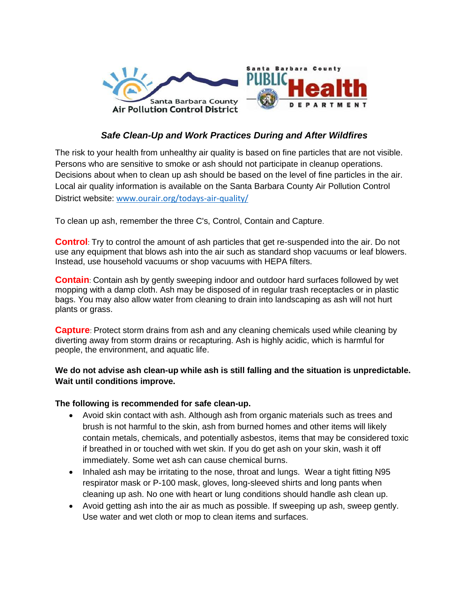

## *Safe Clean-Up and Work Practices During and After Wildfires*

The risk to your health from unhealthy air quality is based on fine particles that are not visible. Persons who are sensitive to smoke or ash should not participate in cleanup operations. Decisions about when to clean up ash should be based on the level of fine particles in the air. Local air quality information is available on the Santa Barbara County Air Pollution Control District website: [www.ourair.org/todays-air-quality/](http://www.ourair.org/todays-air-quality/)

To clean up ash, remember the three C's, Control, Contain and Capture.

**Control**: Try to control the amount of ash particles that get re-suspended into the air. Do not use any equipment that blows ash into the air such as standard shop vacuums or leaf blowers. Instead, use household vacuums or shop vacuums with HEPA filters.

**Contain**: Contain ash by gently sweeping indoor and outdoor hard surfaces followed by wet mopping with a damp cloth. Ash may be disposed of in regular trash receptacles or in plastic bags. You may also allow water from cleaning to drain into landscaping as ash will not hurt plants or grass.

**Capture**: Protect storm drains from ash and any cleaning chemicals used while cleaning by diverting away from storm drains or recapturing. Ash is highly acidic, which is harmful for people, the environment, and aquatic life.

## **We do not advise ash clean-up while ash is still falling and the situation is unpredictable. Wait until conditions improve.**

## **The following is recommended for safe clean-up.**

- Avoid skin contact with ash. Although ash from organic materials such as trees and brush is not harmful to the skin, ash from burned homes and other items will likely contain metals, chemicals, and potentially asbestos, items that may be considered toxic if breathed in or touched with wet skin. If you do get ash on your skin, wash it off immediately. Some wet ash can cause chemical burns.
- Inhaled ash may be irritating to the nose, throat and lungs. Wear a tight fitting N95 respirator mask or P-100 mask, gloves, long-sleeved shirts and long pants when cleaning up ash. No one with heart or lung conditions should handle ash clean up.
- Avoid getting ash into the air as much as possible. If sweeping up ash, sweep gently. Use water and wet cloth or mop to clean items and surfaces.